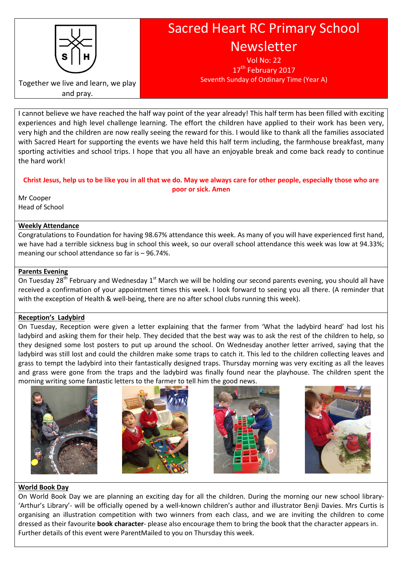

Sacred Heart RC Primary School Newsletter

> Vol No: 22 17<sup>th</sup> February 2017 Seventh Sunday of Ordinary Time (Year A)

Together we live and learn, we play and pray.

I cannot believe we have reached the half way point of the year already! This half term has been filled with exciting experiences and high level challenge learning. The effort the children have applied to their work has been very, very high and the children are now really seeing the reward for this. I would like to thank all the families associated with Sacred Heart for supporting the events we have held this half term including, the farmhouse breakfast, many sporting activities and school trips. I hope that you all have an enjoyable break and come back ready to continue the hard work!

Christ Jesus, help us to be like you in all that we do. May we always care for other people, especially those who are poor or sick. Amen

Mr Cooper Head of School

## Weekly Attendance

Congratulations to Foundation for having 98.67% attendance this week. As many of you will have experienced first hand, we have had a terrible sickness bug in school this week, so our overall school attendance this week was low at 94.33%; meaning our school attendance so far is – 96.74%.

## Parents Evening

On Tuesday 28<sup>th</sup> February and Wednesday 1<sup>st</sup> March we will be holding our second parents evening, you should all have received a confirmation of your appointment times this week. I look forward to seeing you all there. (A reminder that with the exception of Health & well-being, there are no after school clubs running this week).

### Reception's Ladybird

On Tuesday, Reception were given a letter explaining that the farmer from 'What the ladybird heard' had lost his ladybird and asking them for their help. They decided that the best way was to ask the rest of the children to help, so they designed some lost posters to put up around the school. On Wednesday another letter arrived, saying that the ladybird was still lost and could the children make some traps to catch it. This led to the children collecting leaves and grass to tempt the ladybird into their fantastically designed traps. Thursday morning was very exciting as all the leaves and grass were gone from the traps and the ladybird was finally found near the playhouse. The children spent the morning writing some fantastic letters to the farmer to tell him the good news.









### World Book Day

On World Book Day we are planning an exciting day for all the children. During the morning our new school library- 'Arthur's Library'- will be officially opened by a well-known children's author and illustrator Benji Davies. Mrs Curtis is organising an illustration competition with two winners from each class, and we are inviting the children to come dressed as their favourite **book character**- please also encourage them to bring the book that the character appears in. Further details of this event were ParentMailed to you on Thursday this week.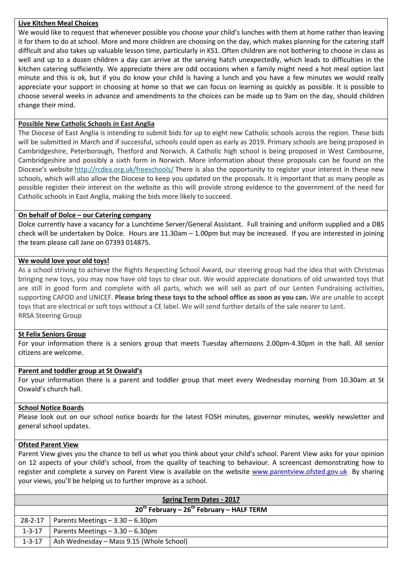### Live Kitchen Meal Choices

We would like to request that whenever possible you choose your child's lunches with them at home rather than leaving it for them to do at school. More and more children are choosing on the day, which makes planning for the catering staff difficult and also takes up valuable lesson time, particularly in KS1. Often children are not bothering to choose in class as well and up to a dozen children a day can arrive at the serving hatch unexpectedly, which leads to difficulties in the kitchen catering sufficiently. We appreciate there are odd occasions when a family might need a hot meal option last minute and this is ok, but if you do know your child is having a lunch and you have a few minutes we would really appreciate your support in choosing at home so that we can focus on learning as quickly as possible. It is possible to choose several weeks in advance and amendments to the choices can be made up to 9am on the day, should children change their mind.

# Possible New Catholic Schools in East Anglia

The Diocese of East Anglia is intending to submit bids for up to eight new Catholic schools across the region. These bids will be submitted in March and if successful, schools could open as early as 2019. Primary schools are being proposed in Cambridgeshire, Peterborough, Thetford and Norwich. A Catholic high school is being proposed in West Cambourne, Cambridgeshire and possibly a sixth form in Norwich. More information about these proposals can be found on the Diocese's website http://rcdea.org.uk/freeschools/ There is also the opportunity to register your interest in these new schools, which will also allow the Diocese to keep you updated on the proposals. It is important that as many people as possible register their interest on the website as this will provide strong evidence to the government of the need for Catholic schools in East Anglia, making the bids more likely to succeed.

## On behalf of Dolce – our Catering company

Dolce currently have a vacancy for a Lunchtime Server/General Assistant. Full training and uniform supplied and a DBS check will be undertaken by Dolce. Hours are 11.30am – 1.00pm but may be increased. If you are interested in joining the team please call Jane on 07393 014875.

## We would love your old toys!

As a school striving to achieve the Rights Respecting School Award, our steering group had the idea that with Christmas bringing new toys, you may now have old toys to clear out. We would appreciate donations of old unwanted toys that are still in good form and complete with all parts, which we will sell as part of our Lenten Fundraising activities, supporting CAFOD and UNICEF. Please bring these toys to the school office as soon as you can. We are unable to accept toys that are electrical or soft toys without a CE label. We will send further details of the sale nearer to Lent. RRSA Steering Group

# St Felix Seniors Group

For your information there is a seniors group that meets Tuesday afternoons 2.00pm-4.30pm in the hall. All senior citizens are welcome.

### Parent and toddler group at St Oswald's

For your information there is a parent and toddler group that meet every Wednesday morning from 10.30am at St Oswald's church hall.

### School Notice Boards

Please look out on our school notice boards for the latest FOSH minutes, governor minutes, weekly newsletter and general school updates.

### Ofsted Parent View

Parent View gives you the chance to tell us what you think about your child's school. Parent View asks for your opinion on 12 aspects of your child's school, from the quality of teaching to behaviour. A screencast demonstrating how to register and complete a survey on Parent View is available on the website www.parentview.ofsted.gov.uk By sharing your views, you'll be helping us to further improve as a school.

| <b>Spring Term Dates - 2017</b>               |  |
|-----------------------------------------------|--|
| $20th$ February – $26th$ February – HALF TERM |  |
| 28-2-17   Parents Meetings $-3.30 - 6.30$ pm  |  |
| Parents Meetings $-3.30 - 6.30$ pm            |  |
| Ash Wednesday – Mass 9.15 (Whole School)      |  |
|                                               |  |